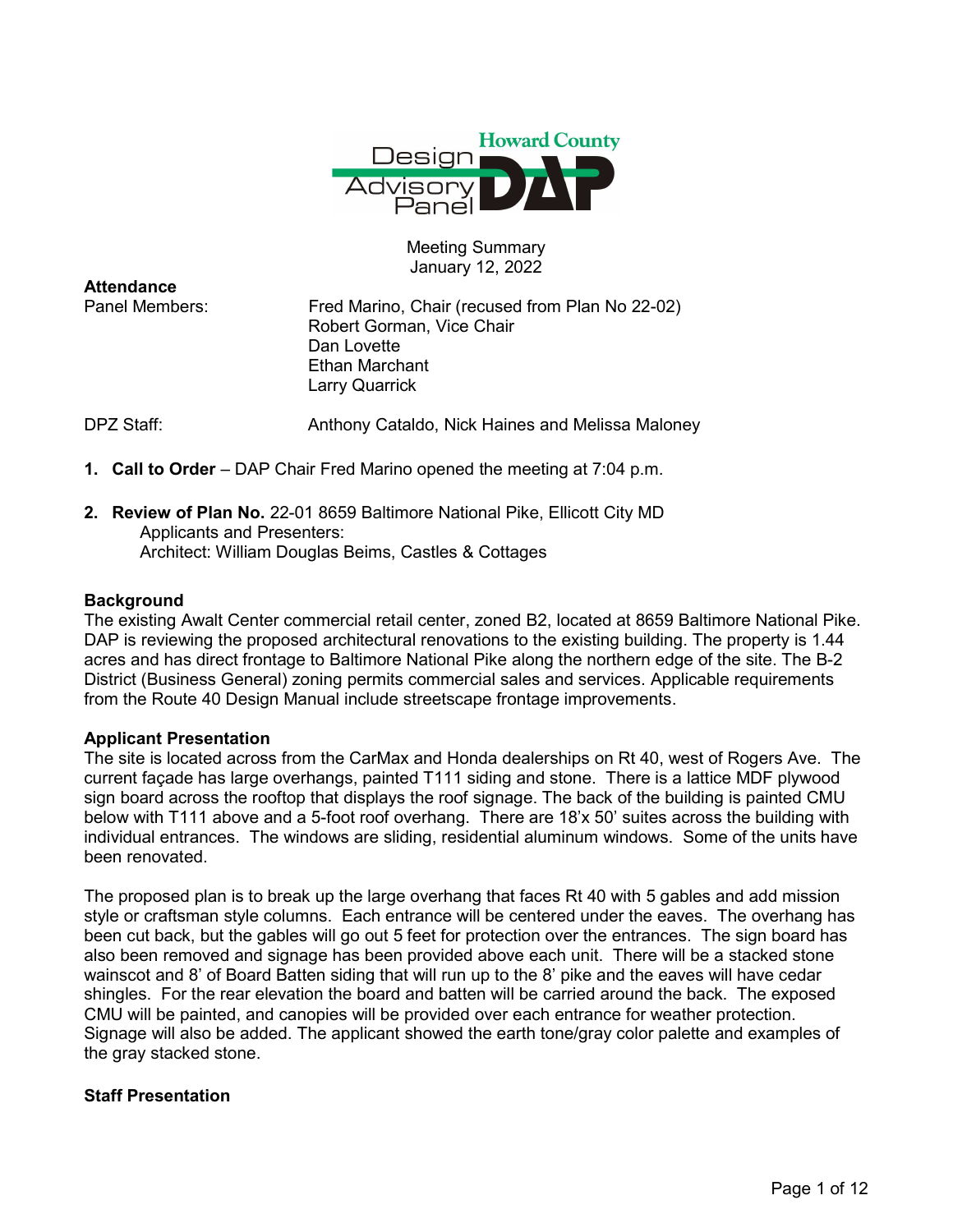

Meeting Summary January 12, 2022

| <b>Attendance</b> |                                                  |
|-------------------|--------------------------------------------------|
| Panel Members:    | Fred Marino, Chair (recused from Plan No 22-02)  |
|                   | Robert Gorman, Vice Chair                        |
|                   | Dan Lovette                                      |
|                   | Ethan Marchant                                   |
|                   | Larry Quarrick                                   |
| DPZ Staff:        | Anthony Cataldo, Nick Haines and Melissa Maloney |

- 1. Call to Order DAP Chair Fred Marino opened the meeting at 7:04 p.m.
- 2. Review of Plan No. 22-01 8659 Baltimore National Pike, Ellicott City MD Applicants and Presenters: Architect: William Douglas Beims, Castles & Cottages

### **Background**

The existing Awalt Center commercial retail center, zoned B2, located at 8659 Baltimore National Pike. DAP is reviewing the proposed architectural renovations to the existing building. The property is 1.44 acres and has direct frontage to Baltimore National Pike along the northern edge of the site. The B-2 District (Business General) zoning permits commercial sales and services. Applicable requirements from the Route 40 Design Manual include streetscape frontage improvements.

#### Applicant Presentation

The site is located across from the CarMax and Honda dealerships on Rt 40, west of Rogers Ave. The current façade has large overhangs, painted T111 siding and stone. There is a lattice MDF plywood sign board across the rooftop that displays the roof signage. The back of the building is painted CMU below with T111 above and a 5-foot roof overhang. There are 18'x 50' suites across the building with individual entrances. The windows are sliding, residential aluminum windows. Some of the units have been renovated.

The proposed plan is to break up the large overhang that faces Rt 40 with 5 gables and add mission style or craftsman style columns. Each entrance will be centered under the eaves. The overhang has been cut back, but the gables will go out 5 feet for protection over the entrances. The sign board has also been removed and signage has been provided above each unit. There will be a stacked stone wainscot and 8' of Board Batten siding that will run up to the 8' pike and the eaves will have cedar shingles. For the rear elevation the board and batten will be carried around the back. The exposed CMU will be painted, and canopies will be provided over each entrance for weather protection. Signage will also be added. The applicant showed the earth tone/gray color palette and examples of the gray stacked stone.

### Staff Presentation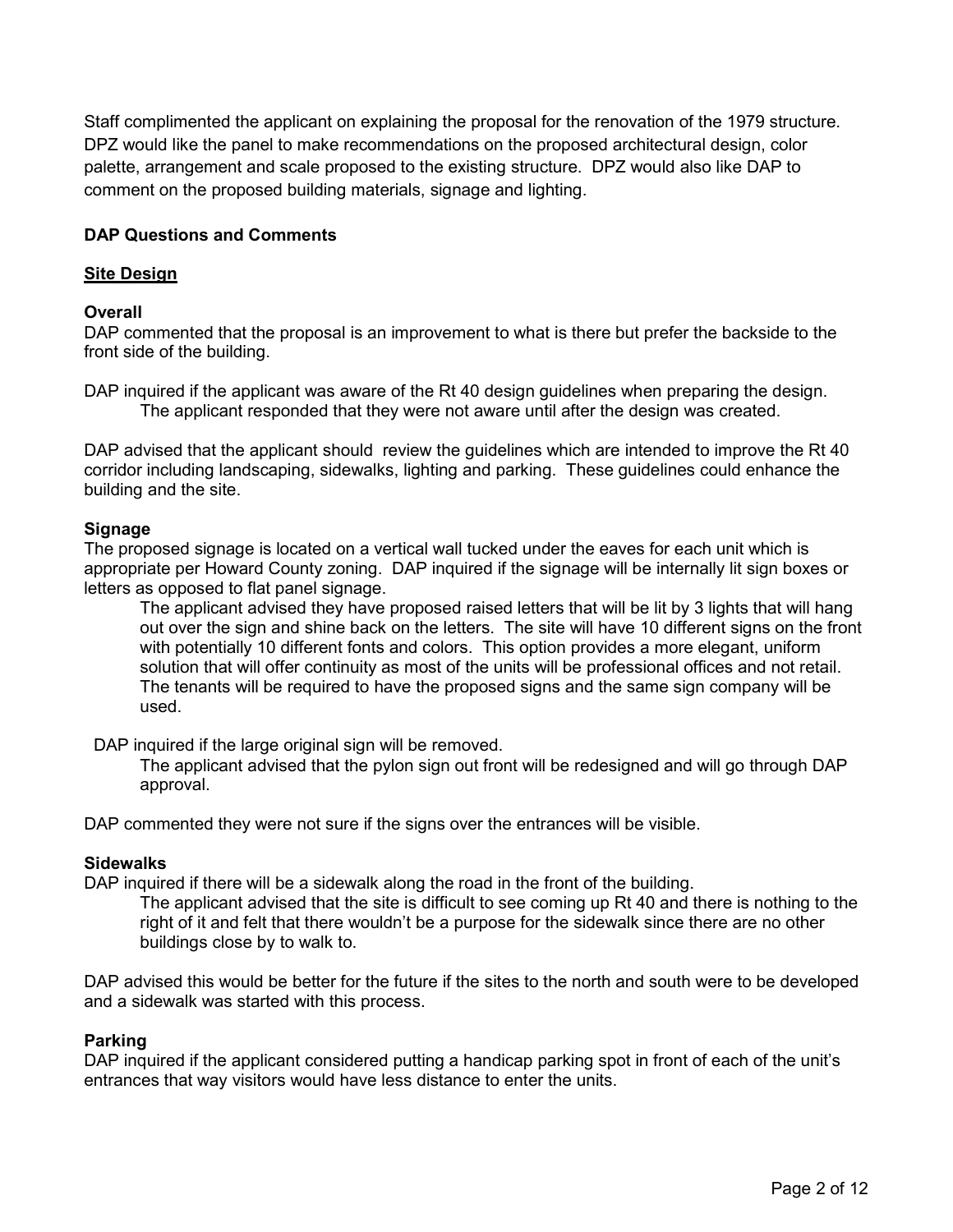Staff complimented the applicant on explaining the proposal for the renovation of the 1979 structure. DPZ would like the panel to make recommendations on the proposed architectural design, color palette, arrangement and scale proposed to the existing structure. DPZ would also like DAP to comment on the proposed building materials, signage and lighting.

# DAP Questions and Comments

## Site Design

### **Overall**

DAP commented that the proposal is an improvement to what is there but prefer the backside to the front side of the building.

DAP inquired if the applicant was aware of the Rt 40 design guidelines when preparing the design. The applicant responded that they were not aware until after the design was created.

DAP advised that the applicant should review the guidelines which are intended to improve the Rt 40 corridor including landscaping, sidewalks, lighting and parking. These guidelines could enhance the building and the site.

### Signage

The proposed signage is located on a vertical wall tucked under the eaves for each unit which is appropriate per Howard County zoning. DAP inquired if the signage will be internally lit sign boxes or letters as opposed to flat panel signage.

The applicant advised they have proposed raised letters that will be lit by 3 lights that will hang out over the sign and shine back on the letters. The site will have 10 different signs on the front with potentially 10 different fonts and colors. This option provides a more elegant, uniform solution that will offer continuity as most of the units will be professional offices and not retail. The tenants will be required to have the proposed signs and the same sign company will be used.

DAP inquired if the large original sign will be removed.

The applicant advised that the pylon sign out front will be redesigned and will go through DAP approval.

DAP commented they were not sure if the signs over the entrances will be visible.

# **Sidewalks**

DAP inquired if there will be a sidewalk along the road in the front of the building.

The applicant advised that the site is difficult to see coming up Rt 40 and there is nothing to the right of it and felt that there wouldn't be a purpose for the sidewalk since there are no other buildings close by to walk to.

DAP advised this would be better for the future if the sites to the north and south were to be developed and a sidewalk was started with this process.

### Parking

DAP inquired if the applicant considered putting a handicap parking spot in front of each of the unit's entrances that way visitors would have less distance to enter the units.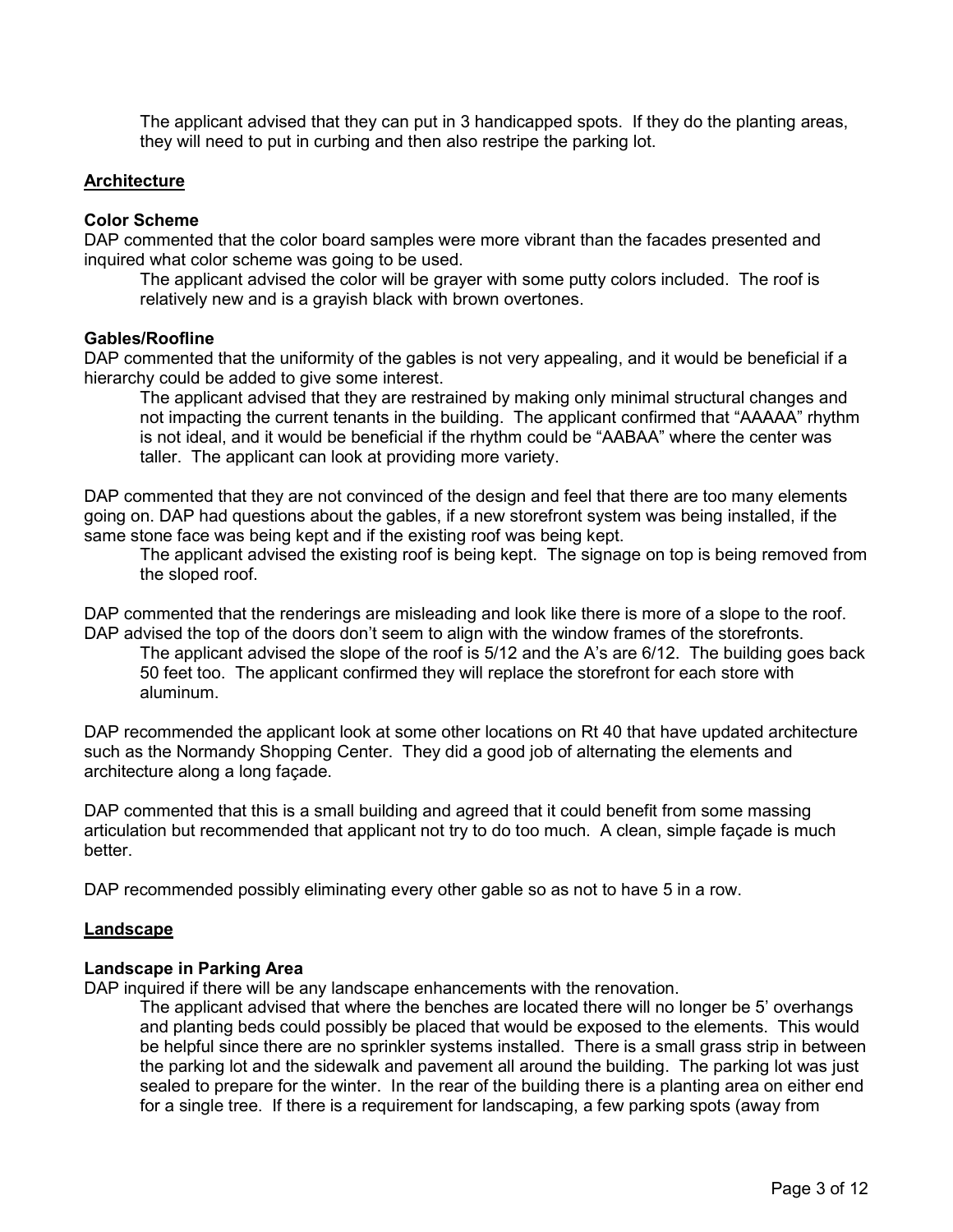The applicant advised that they can put in 3 handicapped spots. If they do the planting areas, they will need to put in curbing and then also restripe the parking lot.

### **Architecture**

#### Color Scheme

DAP commented that the color board samples were more vibrant than the facades presented and inquired what color scheme was going to be used.

The applicant advised the color will be grayer with some putty colors included. The roof is relatively new and is a grayish black with brown overtones.

#### Gables/Roofline

DAP commented that the uniformity of the gables is not very appealing, and it would be beneficial if a hierarchy could be added to give some interest.

The applicant advised that they are restrained by making only minimal structural changes and not impacting the current tenants in the building. The applicant confirmed that "AAAAA" rhythm is not ideal, and it would be beneficial if the rhythm could be "AABAA" where the center was taller. The applicant can look at providing more variety.

DAP commented that they are not convinced of the design and feel that there are too many elements going on. DAP had questions about the gables, if a new storefront system was being installed, if the same stone face was being kept and if the existing roof was being kept.

The applicant advised the existing roof is being kept. The signage on top is being removed from the sloped roof.

DAP commented that the renderings are misleading and look like there is more of a slope to the roof. DAP advised the top of the doors don't seem to align with the window frames of the storefronts.

The applicant advised the slope of the roof is 5/12 and the A's are 6/12. The building goes back 50 feet too. The applicant confirmed they will replace the storefront for each store with aluminum.

DAP recommended the applicant look at some other locations on Rt 40 that have updated architecture such as the Normandy Shopping Center. They did a good job of alternating the elements and architecture along a long façade.

DAP commented that this is a small building and agreed that it could benefit from some massing articulation but recommended that applicant not try to do too much. A clean, simple façade is much better.

DAP recommended possibly eliminating every other gable so as not to have 5 in a row.

#### Landscape

#### Landscape in Parking Area

DAP inquired if there will be any landscape enhancements with the renovation.

The applicant advised that where the benches are located there will no longer be 5' overhangs and planting beds could possibly be placed that would be exposed to the elements. This would be helpful since there are no sprinkler systems installed. There is a small grass strip in between the parking lot and the sidewalk and pavement all around the building. The parking lot was just sealed to prepare for the winter. In the rear of the building there is a planting area on either end for a single tree. If there is a requirement for landscaping, a few parking spots (away from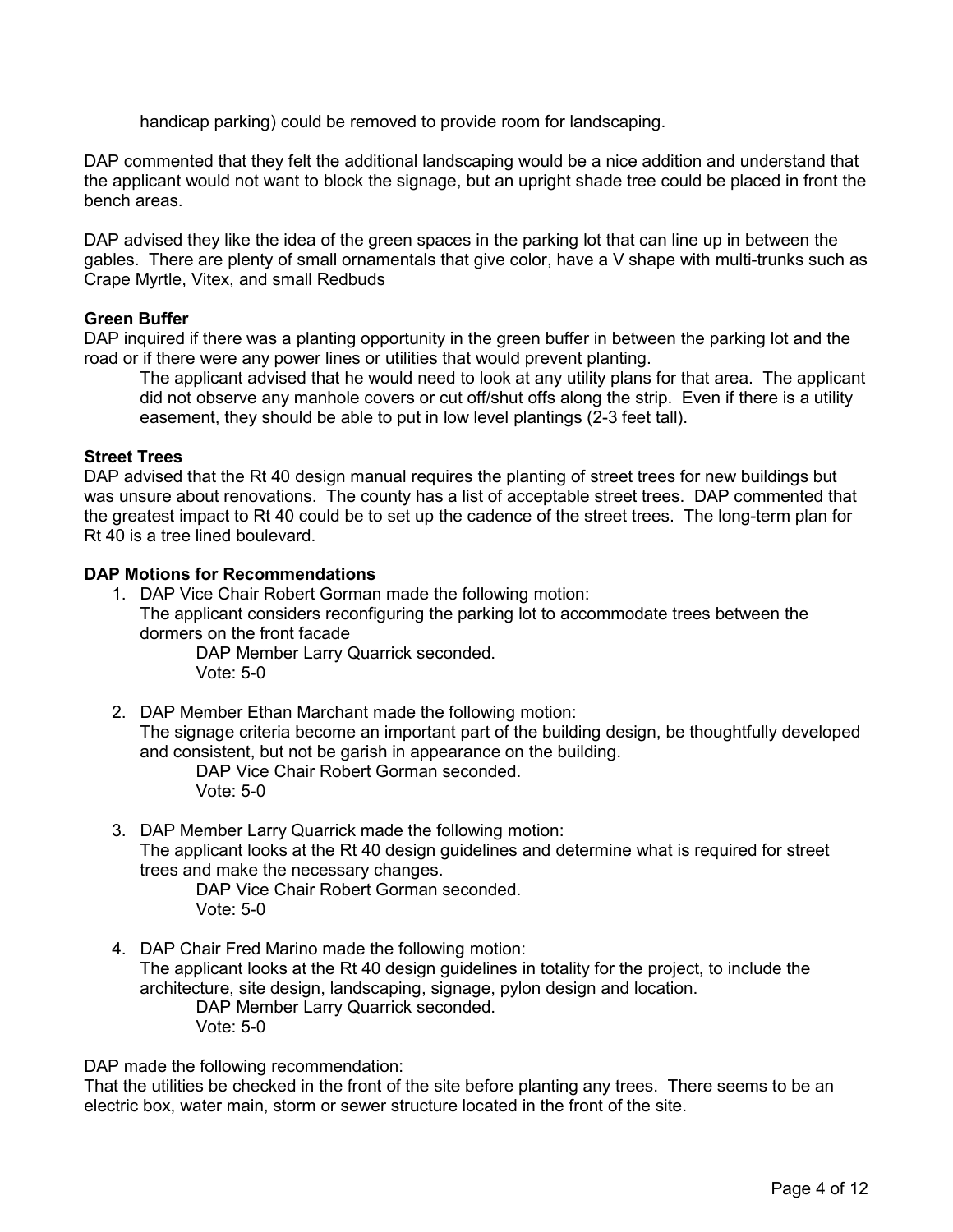handicap parking) could be removed to provide room for landscaping.

DAP commented that they felt the additional landscaping would be a nice addition and understand that the applicant would not want to block the signage, but an upright shade tree could be placed in front the bench areas.

DAP advised they like the idea of the green spaces in the parking lot that can line up in between the gables. There are plenty of small ornamentals that give color, have a V shape with multi-trunks such as Crape Myrtle, Vitex, and small Redbuds

### Green Buffer

DAP inquired if there was a planting opportunity in the green buffer in between the parking lot and the road or if there were any power lines or utilities that would prevent planting.

The applicant advised that he would need to look at any utility plans for that area. The applicant did not observe any manhole covers or cut off/shut offs along the strip. Even if there is a utility easement, they should be able to put in low level plantings (2-3 feet tall).

### Street Trees

DAP advised that the Rt 40 design manual requires the planting of street trees for new buildings but was unsure about renovations. The county has a list of acceptable street trees. DAP commented that the greatest impact to Rt 40 could be to set up the cadence of the street trees. The long-term plan for Rt 40 is a tree lined boulevard.

### DAP Motions for Recommendations

1. DAP Vice Chair Robert Gorman made the following motion: The applicant considers reconfiguring the parking lot to accommodate trees between the dormers on the front facade

DAP Member Larry Quarrick seconded. Vote: 5-0

2. DAP Member Ethan Marchant made the following motion: The signage criteria become an important part of the building design, be thoughtfully developed and consistent, but not be garish in appearance on the building.

DAP Vice Chair Robert Gorman seconded. Vote: 5-0

3. DAP Member Larry Quarrick made the following motion: The applicant looks at the Rt 40 design guidelines and determine what is required for street trees and make the necessary changes.

DAP Vice Chair Robert Gorman seconded. Vote: 5-0

4. DAP Chair Fred Marino made the following motion: The applicant looks at the Rt 40 design guidelines in totality for the project, to include the architecture, site design, landscaping, signage, pylon design and location. DAP Member Larry Quarrick seconded. Vote: 5-0

DAP made the following recommendation:

That the utilities be checked in the front of the site before planting any trees. There seems to be an electric box, water main, storm or sewer structure located in the front of the site.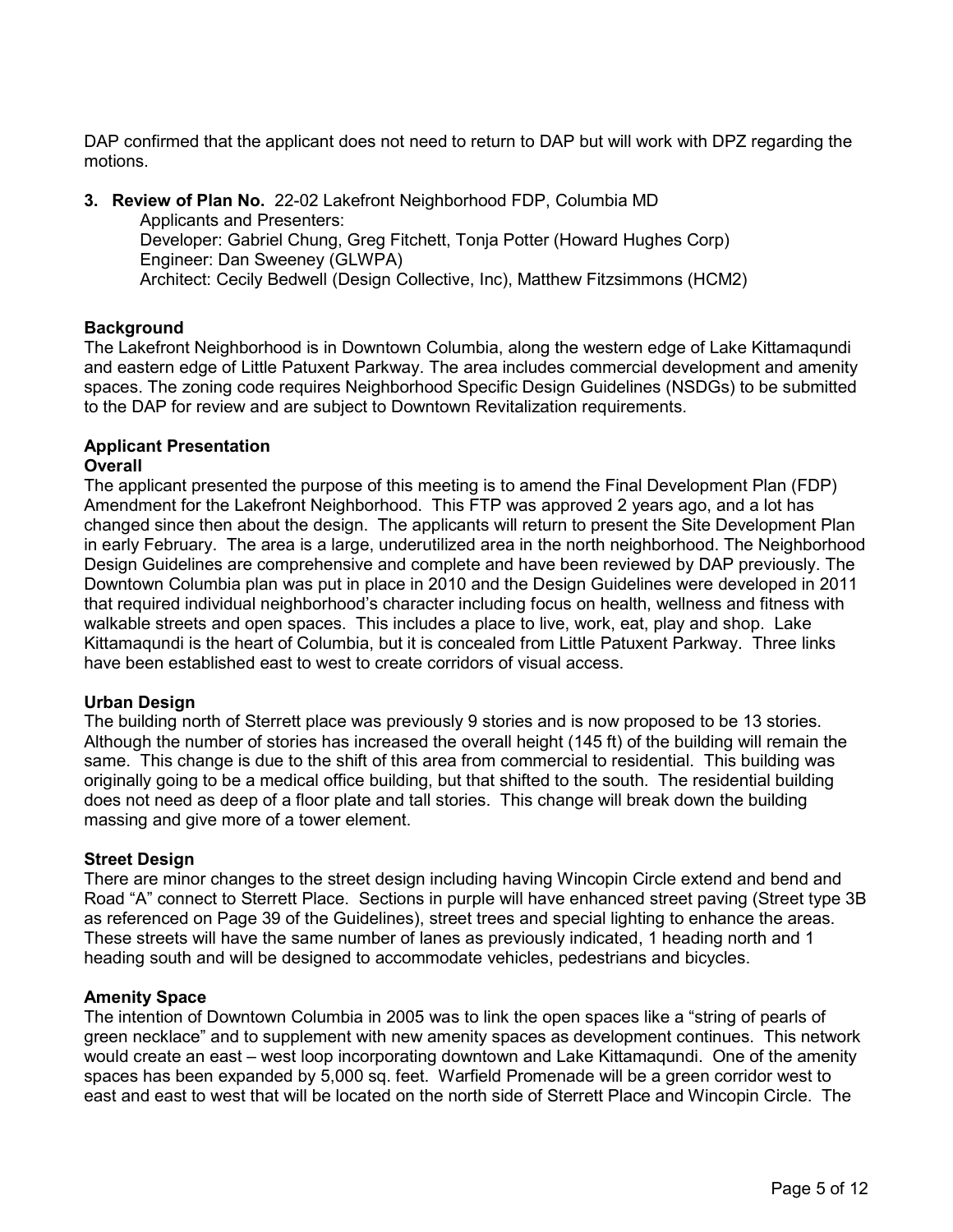DAP confirmed that the applicant does not need to return to DAP but will work with DPZ regarding the motions.

3. Review of Plan No. 22-02 Lakefront Neighborhood FDP, Columbia MD Applicants and Presenters: Developer: Gabriel Chung, Greg Fitchett, Tonja Potter (Howard Hughes Corp) Engineer: Dan Sweeney (GLWPA) Architect: Cecily Bedwell (Design Collective, Inc), Matthew Fitzsimmons (HCM2)

# **Background**

The Lakefront Neighborhood is in Downtown Columbia, along the western edge of Lake Kittamaqundi and eastern edge of Little Patuxent Parkway. The area includes commercial development and amenity spaces. The zoning code requires Neighborhood Specific Design Guidelines (NSDGs) to be submitted to the DAP for review and are subject to Downtown Revitalization requirements.

# Applicant Presentation

### **Overall**

The applicant presented the purpose of this meeting is to amend the Final Development Plan (FDP) Amendment for the Lakefront Neighborhood. This FTP was approved 2 years ago, and a lot has changed since then about the design. The applicants will return to present the Site Development Plan in early February. The area is a large, underutilized area in the north neighborhood. The Neighborhood Design Guidelines are comprehensive and complete and have been reviewed by DAP previously. The Downtown Columbia plan was put in place in 2010 and the Design Guidelines were developed in 2011 that required individual neighborhood's character including focus on health, wellness and fitness with walkable streets and open spaces. This includes a place to live, work, eat, play and shop. Lake Kittamaqundi is the heart of Columbia, but it is concealed from Little Patuxent Parkway. Three links have been established east to west to create corridors of visual access.

### Urban Design

The building north of Sterrett place was previously 9 stories and is now proposed to be 13 stories. Although the number of stories has increased the overall height (145 ft) of the building will remain the same. This change is due to the shift of this area from commercial to residential. This building was originally going to be a medical office building, but that shifted to the south. The residential building does not need as deep of a floor plate and tall stories. This change will break down the building massing and give more of a tower element.

### Street Design

There are minor changes to the street design including having Wincopin Circle extend and bend and Road "A" connect to Sterrett Place. Sections in purple will have enhanced street paving (Street type 3B as referenced on Page 39 of the Guidelines), street trees and special lighting to enhance the areas. These streets will have the same number of lanes as previously indicated, 1 heading north and 1 heading south and will be designed to accommodate vehicles, pedestrians and bicycles.

### Amenity Space

The intention of Downtown Columbia in 2005 was to link the open spaces like a "string of pearls of green necklace" and to supplement with new amenity spaces as development continues. This network would create an east – west loop incorporating downtown and Lake Kittamaqundi. One of the amenity spaces has been expanded by 5,000 sq. feet. Warfield Promenade will be a green corridor west to east and east to west that will be located on the north side of Sterrett Place and Wincopin Circle. The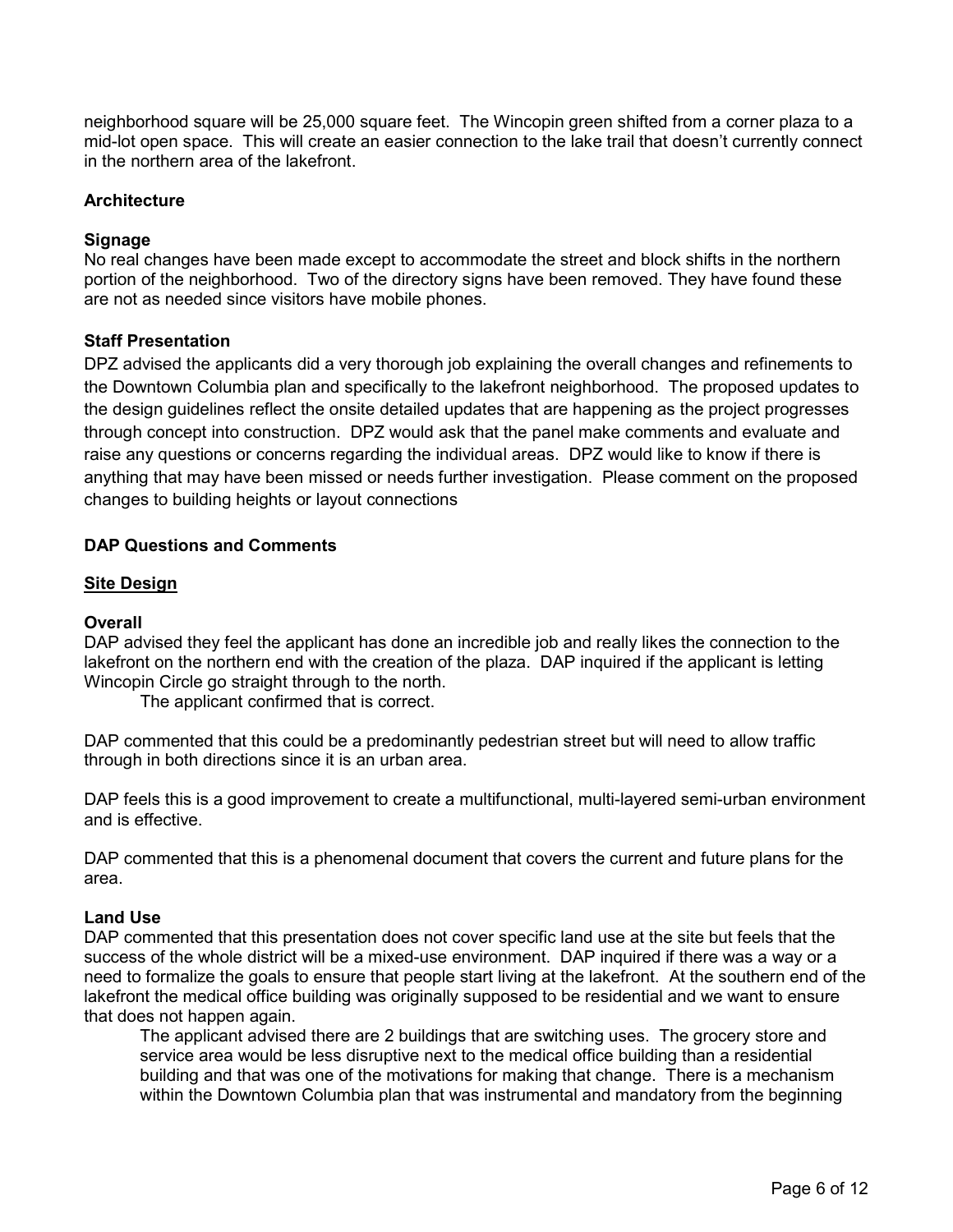neighborhood square will be 25,000 square feet. The Wincopin green shifted from a corner plaza to a mid-lot open space. This will create an easier connection to the lake trail that doesn't currently connect in the northern area of the lakefront.

### **Architecture**

### Signage

No real changes have been made except to accommodate the street and block shifts in the northern portion of the neighborhood. Two of the directory signs have been removed. They have found these are not as needed since visitors have mobile phones.

### Staff Presentation

DPZ advised the applicants did a very thorough job explaining the overall changes and refinements to the Downtown Columbia plan and specifically to the lakefront neighborhood. The proposed updates to the design guidelines reflect the onsite detailed updates that are happening as the project progresses through concept into construction. DPZ would ask that the panel make comments and evaluate and raise any questions or concerns regarding the individual areas. DPZ would like to know if there is anything that may have been missed or needs further investigation. Please comment on the proposed changes to building heights or layout connections

### DAP Questions and Comments

### Site Design

### **Overall**

DAP advised they feel the applicant has done an incredible job and really likes the connection to the lakefront on the northern end with the creation of the plaza. DAP inquired if the applicant is letting Wincopin Circle go straight through to the north.

The applicant confirmed that is correct.

DAP commented that this could be a predominantly pedestrian street but will need to allow traffic through in both directions since it is an urban area.

DAP feels this is a good improvement to create a multifunctional, multi-layered semi-urban environment and is effective.

DAP commented that this is a phenomenal document that covers the current and future plans for the area.

### Land Use

DAP commented that this presentation does not cover specific land use at the site but feels that the success of the whole district will be a mixed-use environment. DAP inquired if there was a way or a need to formalize the goals to ensure that people start living at the lakefront. At the southern end of the lakefront the medical office building was originally supposed to be residential and we want to ensure that does not happen again.

The applicant advised there are 2 buildings that are switching uses. The grocery store and service area would be less disruptive next to the medical office building than a residential building and that was one of the motivations for making that change. There is a mechanism within the Downtown Columbia plan that was instrumental and mandatory from the beginning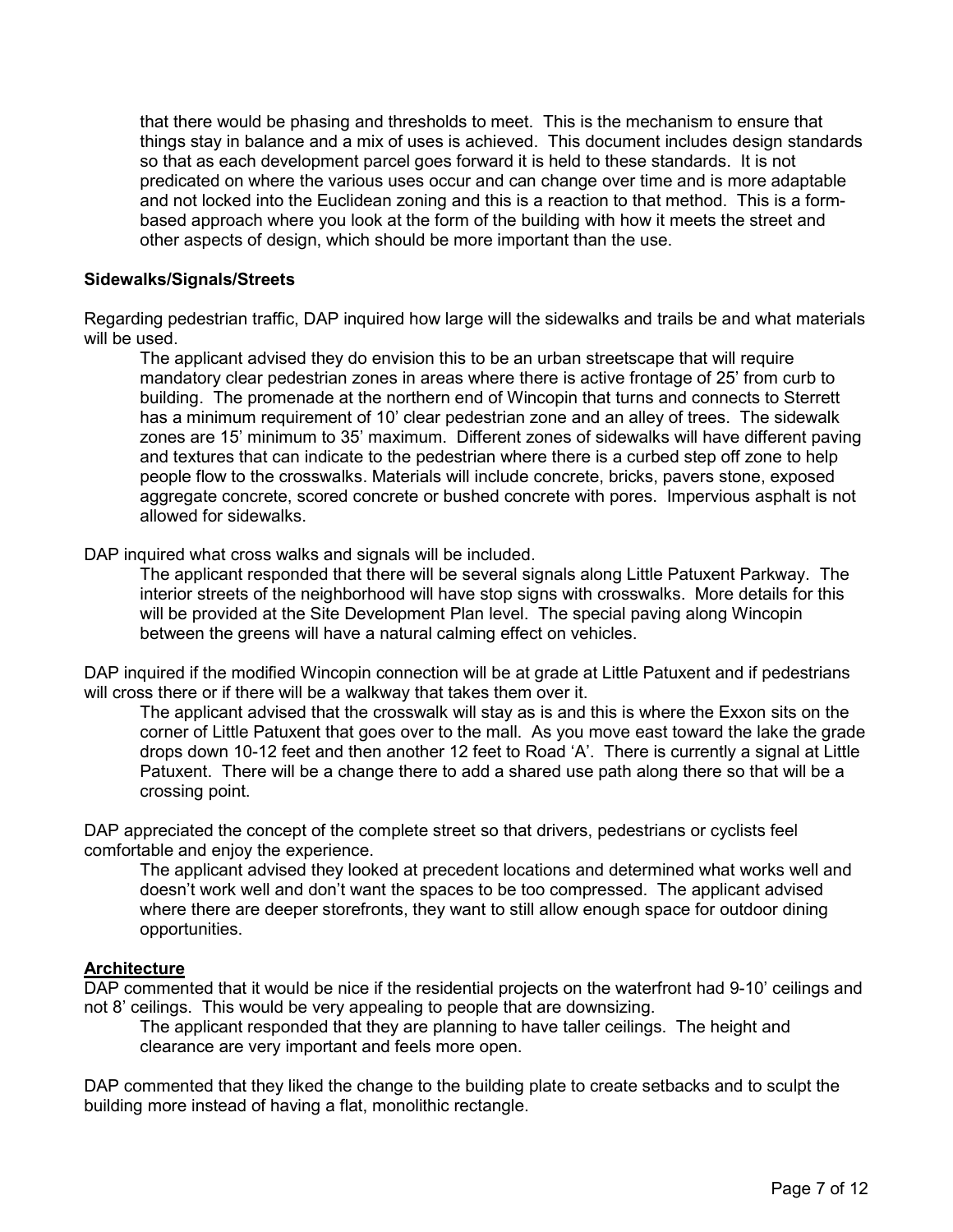that there would be phasing and thresholds to meet. This is the mechanism to ensure that things stay in balance and a mix of uses is achieved. This document includes design standards so that as each development parcel goes forward it is held to these standards. It is not predicated on where the various uses occur and can change over time and is more adaptable and not locked into the Euclidean zoning and this is a reaction to that method. This is a formbased approach where you look at the form of the building with how it meets the street and other aspects of design, which should be more important than the use.

### Sidewalks/Signals/Streets

Regarding pedestrian traffic, DAP inquired how large will the sidewalks and trails be and what materials will be used.

The applicant advised they do envision this to be an urban streetscape that will require mandatory clear pedestrian zones in areas where there is active frontage of 25' from curb to building. The promenade at the northern end of Wincopin that turns and connects to Sterrett has a minimum requirement of 10' clear pedestrian zone and an alley of trees. The sidewalk zones are 15' minimum to 35' maximum. Different zones of sidewalks will have different paving and textures that can indicate to the pedestrian where there is a curbed step off zone to help people flow to the crosswalks. Materials will include concrete, bricks, pavers stone, exposed aggregate concrete, scored concrete or bushed concrete with pores. Impervious asphalt is not allowed for sidewalks.

DAP inquired what cross walks and signals will be included.

The applicant responded that there will be several signals along Little Patuxent Parkway. The interior streets of the neighborhood will have stop signs with crosswalks. More details for this will be provided at the Site Development Plan level. The special paving along Wincopin between the greens will have a natural calming effect on vehicles.

DAP inquired if the modified Wincopin connection will be at grade at Little Patuxent and if pedestrians will cross there or if there will be a walkway that takes them over it.

The applicant advised that the crosswalk will stay as is and this is where the Exxon sits on the corner of Little Patuxent that goes over to the mall. As you move east toward the lake the grade drops down 10-12 feet and then another 12 feet to Road 'A'. There is currently a signal at Little Patuxent. There will be a change there to add a shared use path along there so that will be a crossing point.

DAP appreciated the concept of the complete street so that drivers, pedestrians or cyclists feel comfortable and enjoy the experience.

The applicant advised they looked at precedent locations and determined what works well and doesn't work well and don't want the spaces to be too compressed. The applicant advised where there are deeper storefronts, they want to still allow enough space for outdoor dining opportunities.

### **Architecture**

DAP commented that it would be nice if the residential projects on the waterfront had 9-10' ceilings and not 8' ceilings. This would be very appealing to people that are downsizing.

The applicant responded that they are planning to have taller ceilings. The height and clearance are very important and feels more open.

DAP commented that they liked the change to the building plate to create setbacks and to sculpt the building more instead of having a flat, monolithic rectangle.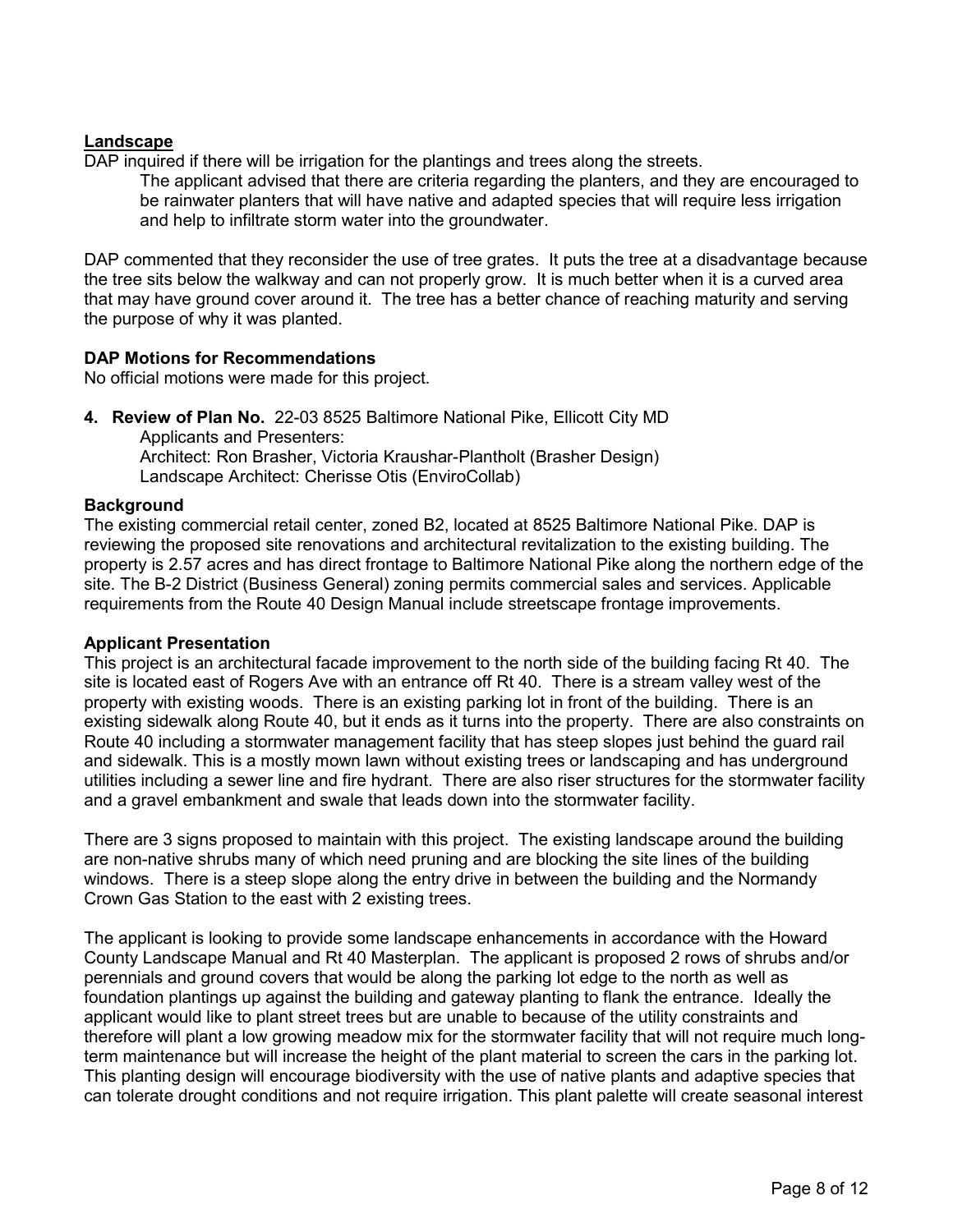### Landscape

DAP inquired if there will be irrigation for the plantings and trees along the streets.

The applicant advised that there are criteria regarding the planters, and they are encouraged to be rainwater planters that will have native and adapted species that will require less irrigation and help to infiltrate storm water into the groundwater.

DAP commented that they reconsider the use of tree grates. It puts the tree at a disadvantage because the tree sits below the walkway and can not properly grow. It is much better when it is a curved area that may have ground cover around it. The tree has a better chance of reaching maturity and serving the purpose of why it was planted.

### DAP Motions for Recommendations

No official motions were made for this project.

4. Review of Plan No. 22-03 8525 Baltimore National Pike, Ellicott City MD Applicants and Presenters: Architect: Ron Brasher, Victoria Kraushar-Plantholt (Brasher Design) Landscape Architect: Cherisse Otis (EnviroCollab)

### **Background**

The existing commercial retail center, zoned B2, located at 8525 Baltimore National Pike. DAP is reviewing the proposed site renovations and architectural revitalization to the existing building. The property is 2.57 acres and has direct frontage to Baltimore National Pike along the northern edge of the site. The B-2 District (Business General) zoning permits commercial sales and services. Applicable requirements from the Route 40 Design Manual include streetscape frontage improvements.

### Applicant Presentation

This project is an architectural facade improvement to the north side of the building facing Rt 40. The site is located east of Rogers Ave with an entrance off Rt 40. There is a stream valley west of the property with existing woods. There is an existing parking lot in front of the building. There is an existing sidewalk along Route 40, but it ends as it turns into the property. There are also constraints on Route 40 including a stormwater management facility that has steep slopes just behind the guard rail and sidewalk. This is a mostly mown lawn without existing trees or landscaping and has underground utilities including a sewer line and fire hydrant. There are also riser structures for the stormwater facility and a gravel embankment and swale that leads down into the stormwater facility.

There are 3 signs proposed to maintain with this project. The existing landscape around the building are non-native shrubs many of which need pruning and are blocking the site lines of the building windows. There is a steep slope along the entry drive in between the building and the Normandy Crown Gas Station to the east with 2 existing trees.

The applicant is looking to provide some landscape enhancements in accordance with the Howard County Landscape Manual and Rt 40 Masterplan. The applicant is proposed 2 rows of shrubs and/or perennials and ground covers that would be along the parking lot edge to the north as well as foundation plantings up against the building and gateway planting to flank the entrance. Ideally the applicant would like to plant street trees but are unable to because of the utility constraints and therefore will plant a low growing meadow mix for the stormwater facility that will not require much longterm maintenance but will increase the height of the plant material to screen the cars in the parking lot. This planting design will encourage biodiversity with the use of native plants and adaptive species that can tolerate drought conditions and not require irrigation. This plant palette will create seasonal interest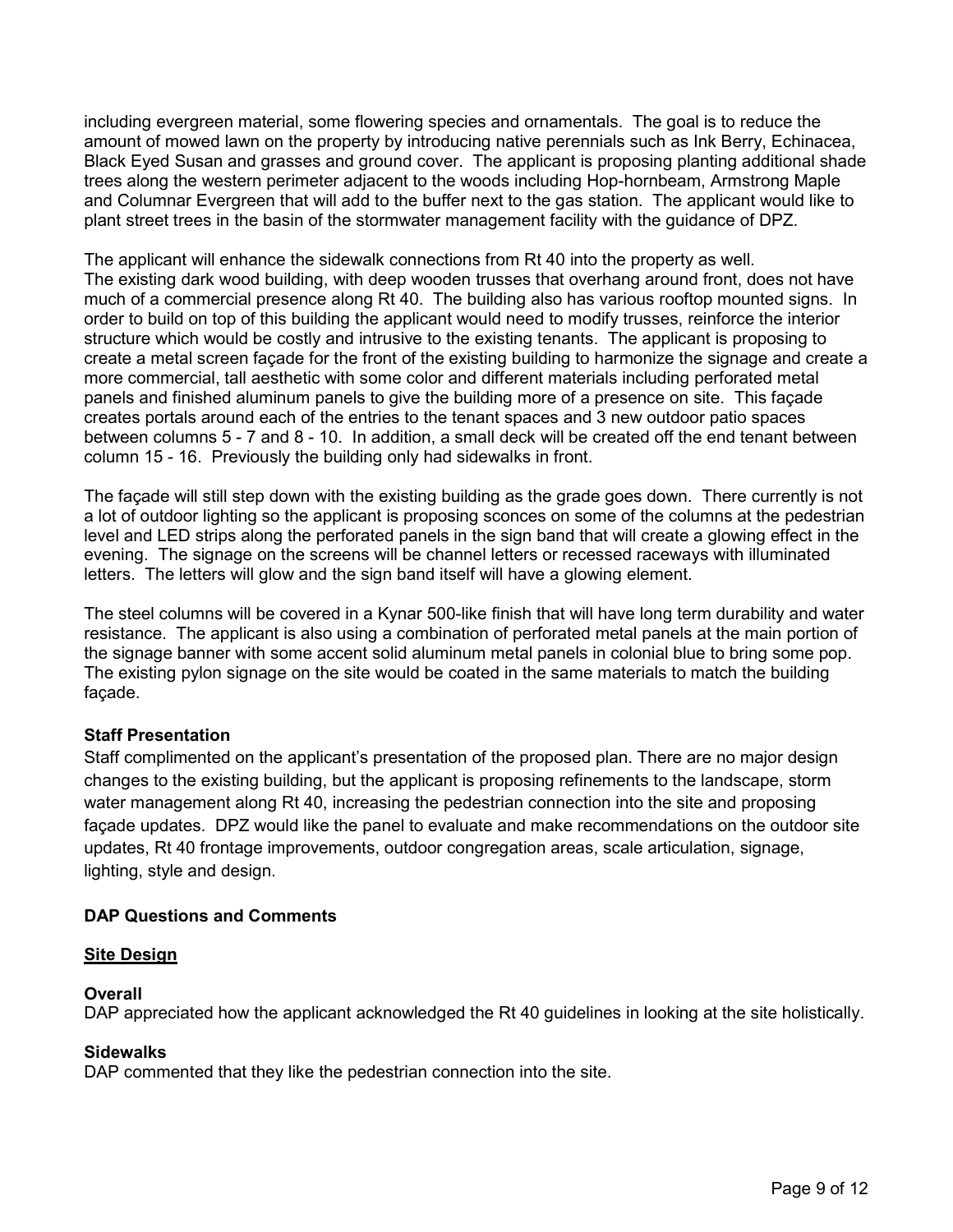including evergreen material, some flowering species and ornamentals. The goal is to reduce the amount of mowed lawn on the property by introducing native perennials such as Ink Berry, Echinacea, Black Eyed Susan and grasses and ground cover. The applicant is proposing planting additional shade trees along the western perimeter adjacent to the woods including Hop-hornbeam, Armstrong Maple and Columnar Evergreen that will add to the buffer next to the gas station. The applicant would like to plant street trees in the basin of the stormwater management facility with the guidance of DPZ.

The applicant will enhance the sidewalk connections from Rt 40 into the property as well. The existing dark wood building, with deep wooden trusses that overhang around front, does not have much of a commercial presence along Rt 40. The building also has various rooftop mounted signs. In order to build on top of this building the applicant would need to modify trusses, reinforce the interior structure which would be costly and intrusive to the existing tenants. The applicant is proposing to create a metal screen façade for the front of the existing building to harmonize the signage and create a more commercial, tall aesthetic with some color and different materials including perforated metal panels and finished aluminum panels to give the building more of a presence on site. This façade creates portals around each of the entries to the tenant spaces and 3 new outdoor patio spaces between columns 5 - 7 and 8 - 10. In addition, a small deck will be created off the end tenant between column 15 - 16. Previously the building only had sidewalks in front.

The façade will still step down with the existing building as the grade goes down. There currently is not a lot of outdoor lighting so the applicant is proposing sconces on some of the columns at the pedestrian level and LED strips along the perforated panels in the sign band that will create a glowing effect in the evening. The signage on the screens will be channel letters or recessed raceways with illuminated letters. The letters will glow and the sign band itself will have a glowing element.

The steel columns will be covered in a Kynar 500-like finish that will have long term durability and water resistance. The applicant is also using a combination of perforated metal panels at the main portion of the signage banner with some accent solid aluminum metal panels in colonial blue to bring some pop. The existing pylon signage on the site would be coated in the same materials to match the building façade.

# Staff Presentation

Staff complimented on the applicant's presentation of the proposed plan. There are no major design changes to the existing building, but the applicant is proposing refinements to the landscape, storm water management along Rt 40, increasing the pedestrian connection into the site and proposing façade updates. DPZ would like the panel to evaluate and make recommendations on the outdoor site updates, Rt 40 frontage improvements, outdoor congregation areas, scale articulation, signage, lighting, style and design.

# DAP Questions and Comments

# **Site Design**

### **Overall**

DAP appreciated how the applicant acknowledged the Rt 40 guidelines in looking at the site holistically.

### **Sidewalks**

DAP commented that they like the pedestrian connection into the site.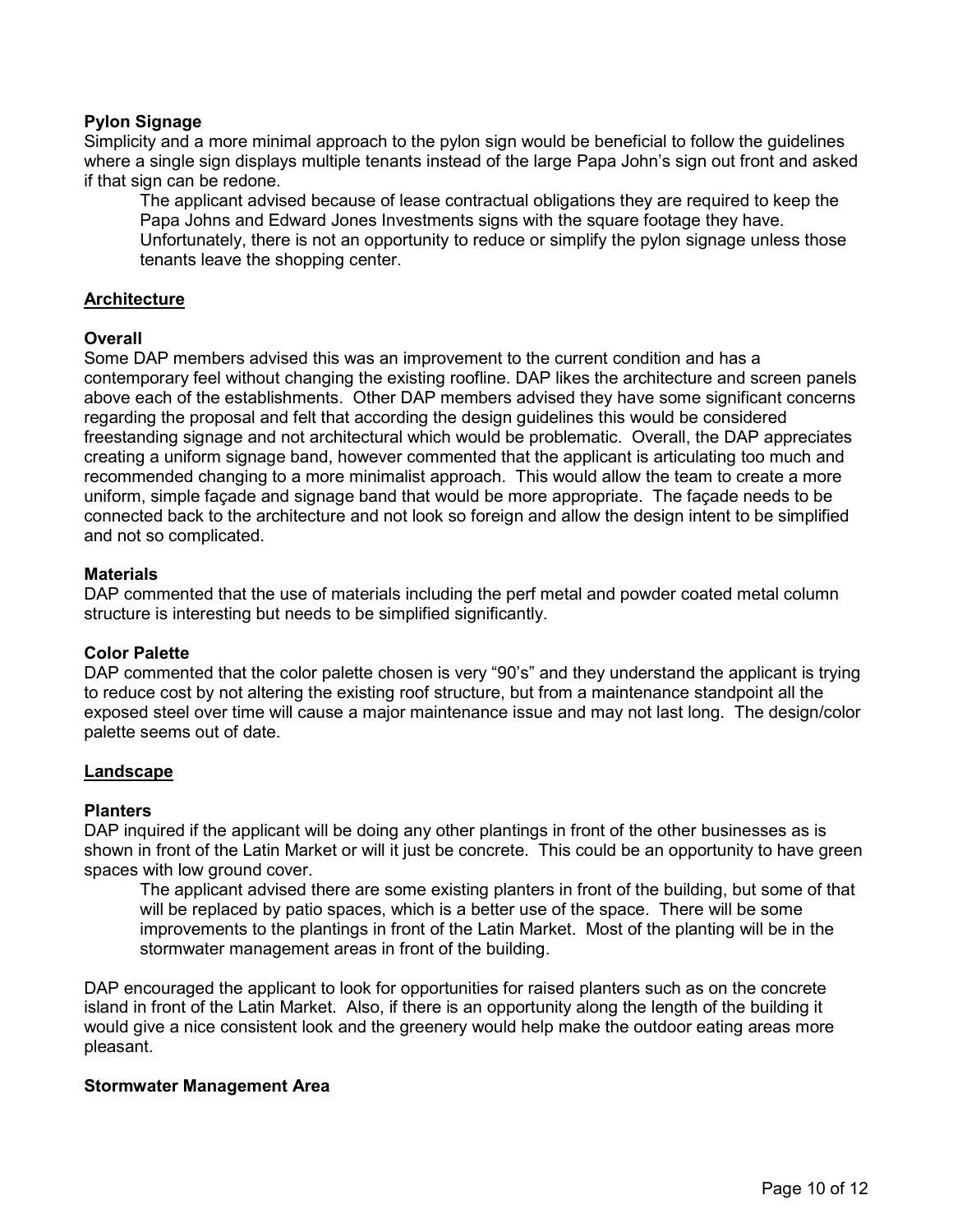# **Pylon Signage**

Simplicity and a more minimal approach to the pylon sign would be beneficial to follow the guidelines where a single sign displays multiple tenants instead of the large Papa John's sign out front and asked if that sign can be redone.

The applicant advised because of lease contractual obligations they are required to keep the Papa Johns and Edward Jones Investments signs with the square footage they have. Unfortunately, there is not an opportunity to reduce or simplify the pylon signage unless those tenants leave the shopping center.

### Architecture

### **Overall**

Some DAP members advised this was an improvement to the current condition and has a contemporary feel without changing the existing roofline. DAP likes the architecture and screen panels above each of the establishments. Other DAP members advised they have some significant concerns regarding the proposal and felt that according the design guidelines this would be considered freestanding signage and not architectural which would be problematic. Overall, the DAP appreciates creating a uniform signage band, however commented that the applicant is articulating too much and recommended changing to a more minimalist approach. This would allow the team to create a more uniform, simple façade and signage band that would be more appropriate. The façade needs to be connected back to the architecture and not look so foreign and allow the design intent to be simplified and not so complicated.

### **Materials**

DAP commented that the use of materials including the perf metal and powder coated metal column structure is interesting but needs to be simplified significantly.

### Color Palette

DAP commented that the color palette chosen is very "90's" and they understand the applicant is trying to reduce cost by not altering the existing roof structure, but from a maintenance standpoint all the exposed steel over time will cause a major maintenance issue and may not last long. The design/color palette seems out of date.

### Landscape

### Planters

DAP inquired if the applicant will be doing any other plantings in front of the other businesses as is shown in front of the Latin Market or will it just be concrete. This could be an opportunity to have green spaces with low ground cover.

The applicant advised there are some existing planters in front of the building, but some of that will be replaced by patio spaces, which is a better use of the space. There will be some improvements to the plantings in front of the Latin Market. Most of the planting will be in the stormwater management areas in front of the building.

DAP encouraged the applicant to look for opportunities for raised planters such as on the concrete island in front of the Latin Market. Also, if there is an opportunity along the length of the building it would give a nice consistent look and the greenery would help make the outdoor eating areas more pleasant.

### Stormwater Management Area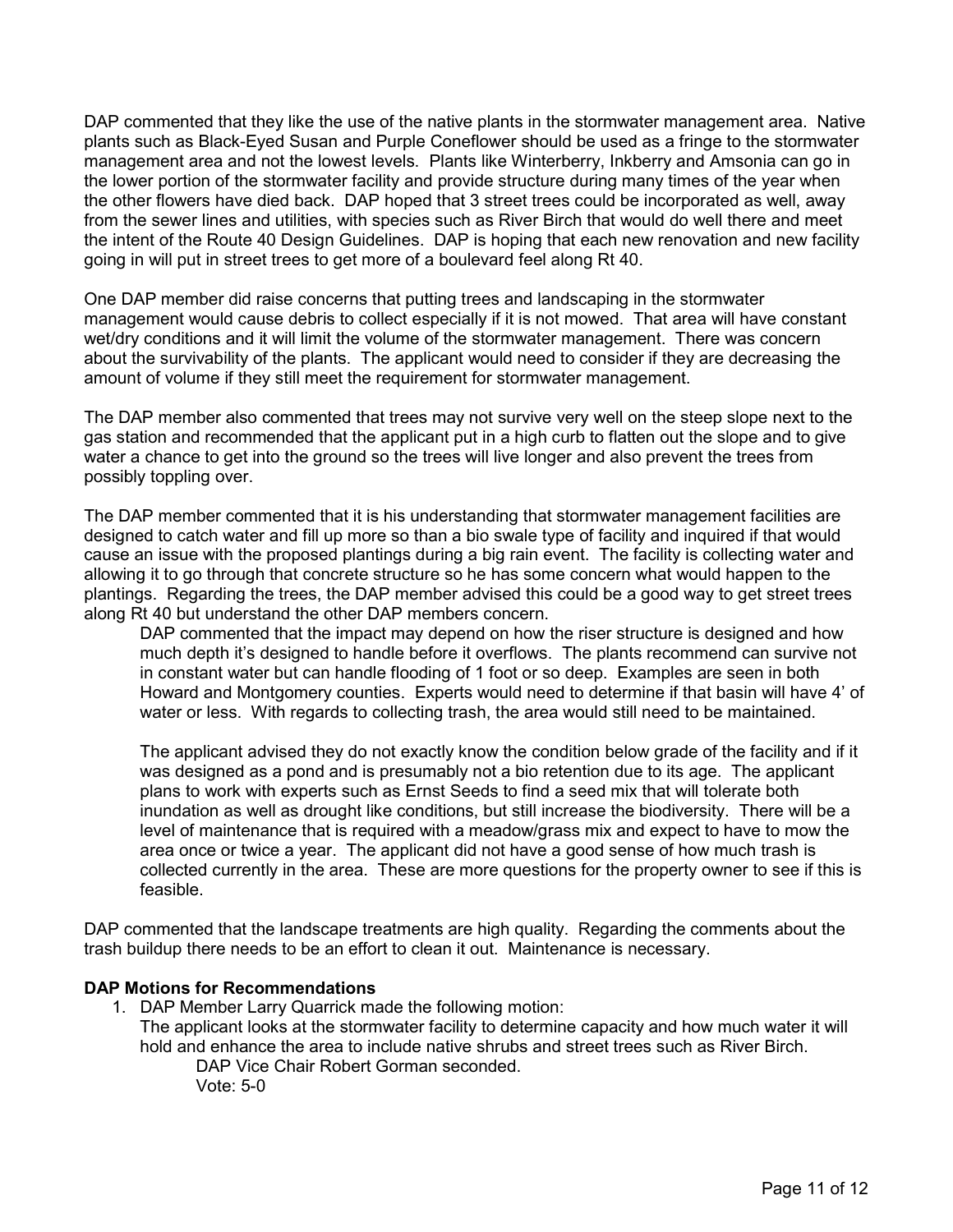DAP commented that they like the use of the native plants in the stormwater management area. Native plants such as Black-Eyed Susan and Purple Coneflower should be used as a fringe to the stormwater management area and not the lowest levels. Plants like Winterberry, Inkberry and Amsonia can go in the lower portion of the stormwater facility and provide structure during many times of the year when the other flowers have died back. DAP hoped that 3 street trees could be incorporated as well, away from the sewer lines and utilities, with species such as River Birch that would do well there and meet the intent of the Route 40 Design Guidelines. DAP is hoping that each new renovation and new facility going in will put in street trees to get more of a boulevard feel along Rt 40.

One DAP member did raise concerns that putting trees and landscaping in the stormwater management would cause debris to collect especially if it is not mowed. That area will have constant wet/dry conditions and it will limit the volume of the stormwater management. There was concern about the survivability of the plants. The applicant would need to consider if they are decreasing the amount of volume if they still meet the requirement for stormwater management.

The DAP member also commented that trees may not survive very well on the steep slope next to the gas station and recommended that the applicant put in a high curb to flatten out the slope and to give water a chance to get into the ground so the trees will live longer and also prevent the trees from possibly toppling over.

The DAP member commented that it is his understanding that stormwater management facilities are designed to catch water and fill up more so than a bio swale type of facility and inquired if that would cause an issue with the proposed plantings during a big rain event. The facility is collecting water and allowing it to go through that concrete structure so he has some concern what would happen to the plantings. Regarding the trees, the DAP member advised this could be a good way to get street trees along Rt 40 but understand the other DAP members concern.

DAP commented that the impact may depend on how the riser structure is designed and how much depth it's designed to handle before it overflows. The plants recommend can survive not in constant water but can handle flooding of 1 foot or so deep. Examples are seen in both Howard and Montgomery counties. Experts would need to determine if that basin will have 4' of water or less. With regards to collecting trash, the area would still need to be maintained.

The applicant advised they do not exactly know the condition below grade of the facility and if it was designed as a pond and is presumably not a bio retention due to its age. The applicant plans to work with experts such as Ernst Seeds to find a seed mix that will tolerate both inundation as well as drought like conditions, but still increase the biodiversity. There will be a level of maintenance that is required with a meadow/grass mix and expect to have to mow the area once or twice a year. The applicant did not have a good sense of how much trash is collected currently in the area. These are more questions for the property owner to see if this is feasible.

DAP commented that the landscape treatments are high quality. Regarding the comments about the trash buildup there needs to be an effort to clean it out. Maintenance is necessary.

# DAP Motions for Recommendations

1. DAP Member Larry Quarrick made the following motion: The applicant looks at the stormwater facility to determine capacity and how much water it will hold and enhance the area to include native shrubs and street trees such as River Birch. DAP Vice Chair Robert Gorman seconded.

Vote: 5-0